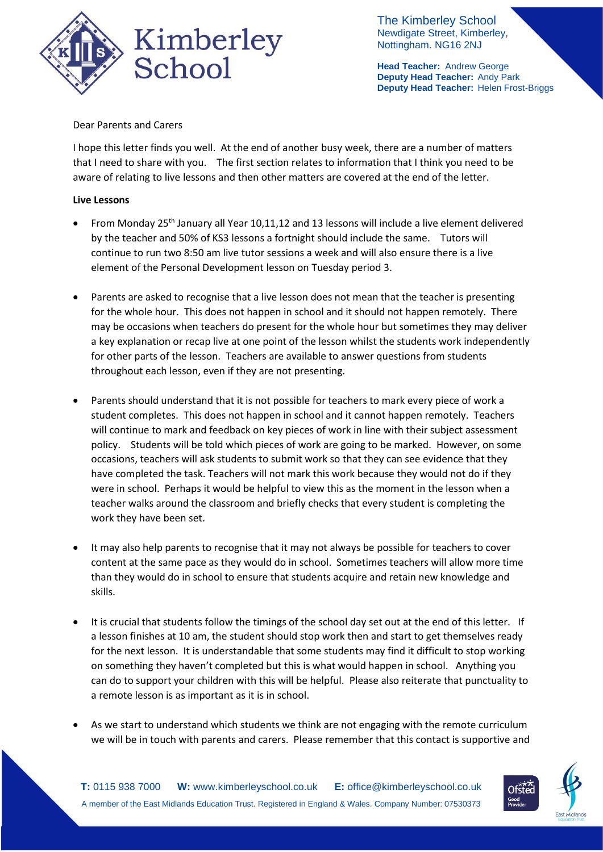

The Kimberley School Newdigate Street, Kimberley, Nottingham. NG16 2NJ

**Head Teacher:** Andrew George **Deputy Head Teacher:** Andy Park **Deputy Head Teacher:** Helen Frost-Briggs

## Dear Parents and Carers

I hope this letter finds you well. At the end of another busy week, there are a number of matters that I need to share with you. The first section relates to information that I think you need to be aware of relating to live lessons and then other matters are covered at the end of the letter.

## **Live Lessons**

- From Monday 25th January all Year 10,11,12 and 13 lessons will include a live element delivered by the teacher and 50% of KS3 lessons a fortnight should include the same. Tutors will continue to run two 8:50 am live tutor sessions a week and will also ensure there is a live element of the Personal Development lesson on Tuesday period 3.
- Parents are asked to recognise that a live lesson does not mean that the teacher is presenting for the whole hour. This does not happen in school and it should not happen remotely. There may be occasions when teachers do present for the whole hour but sometimes they may deliver a key explanation or recap live at one point of the lesson whilst the students work independently for other parts of the lesson. Teachers are available to answer questions from students throughout each lesson, even if they are not presenting.
- Parents should understand that it is not possible for teachers to mark every piece of work a student completes. This does not happen in school and it cannot happen remotely. Teachers will continue to mark and feedback on key pieces of work in line with their subject assessment policy. Students will be told which pieces of work are going to be marked. However, on some occasions, teachers will ask students to submit work so that they can see evidence that they have completed the task. Teachers will not mark this work because they would not do if they were in school. Perhaps it would be helpful to view this as the moment in the lesson when a teacher walks around the classroom and briefly checks that every student is completing the work they have been set.
- It may also help parents to recognise that it may not always be possible for teachers to cover content at the same pace as they would do in school. Sometimes teachers will allow more time than they would do in school to ensure that students acquire and retain new knowledge and skills.
- It is crucial that students follow the timings of the school day set out at the end of this letter. If a lesson finishes at 10 am, the student should stop work then and start to get themselves ready for the next lesson. It is understandable that some students may find it difficult to stop working on something they haven't completed but this is what would happen in school. Anything you can do to support your children with this will be helpful. Please also reiterate that punctuality to a remote lesson is as important as it is in school.
- As we start to understand which students we think are not engaging with the remote curriculum we will be in touch with parents and carers. Please remember that this contact is supportive and

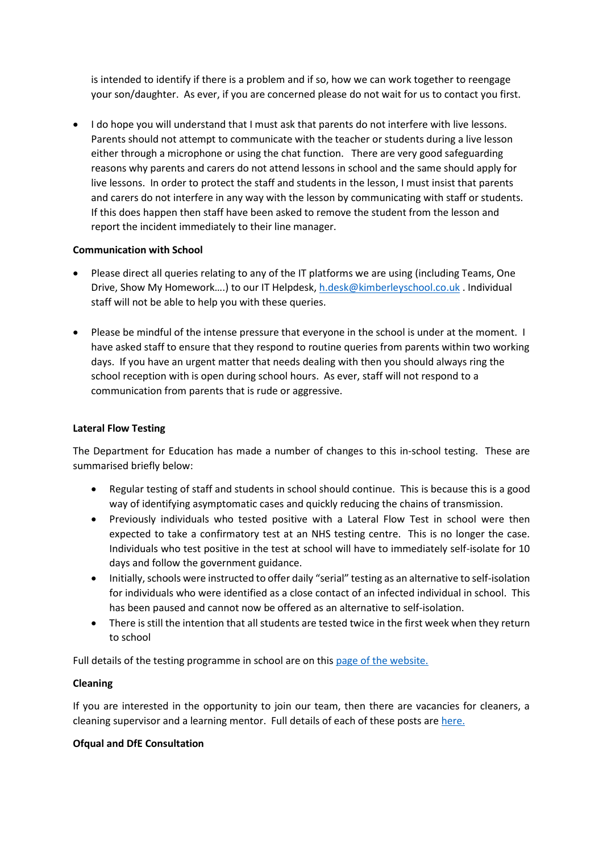is intended to identify if there is a problem and if so, how we can work together to reengage your son/daughter. As ever, if you are concerned please do not wait for us to contact you first.

 I do hope you will understand that I must ask that parents do not interfere with live lessons. Parents should not attempt to communicate with the teacher or students during a live lesson either through a microphone or using the chat function. There are very good safeguarding reasons why parents and carers do not attend lessons in school and the same should apply for live lessons. In order to protect the staff and students in the lesson, I must insist that parents and carers do not interfere in any way with the lesson by communicating with staff or students. If this does happen then staff have been asked to remove the student from the lesson and report the incident immediately to their line manager.

# **Communication with School**

- Please direct all queries relating to any of the IT platforms we are using (including Teams, One Drive, Show My Homework....) to our IT Helpdesk, [h.desk@kimberleyschool.co.uk](mailto:h.desk@kimberleyschool.co.uk) . Individual staff will not be able to help you with these queries.
- Please be mindful of the intense pressure that everyone in the school is under at the moment. I have asked staff to ensure that they respond to routine queries from parents within two working days. If you have an urgent matter that needs dealing with then you should always ring the school reception with is open during school hours. As ever, staff will not respond to a communication from parents that is rude or aggressive.

## **Lateral Flow Testing**

The Department for Education has made a number of changes to this in-school testing. These are summarised briefly below:

- Regular testing of staff and students in school should continue. This is because this is a good way of identifying asymptomatic cases and quickly reducing the chains of transmission.
- Previously individuals who tested positive with a Lateral Flow Test in school were then expected to take a confirmatory test at an NHS testing centre. This is no longer the case. Individuals who test positive in the test at school will have to immediately self-isolate for 10 days and follow the government guidance.
- Initially, schools were instructed to offer daily "serial" testing as an alternative to self-isolation for individuals who were identified as a close contact of an infected individual in school. This has been paused and cannot now be offered as an alternative to self-isolation.
- There is still the intention that all students are tested twice in the first week when they return to school

Full details of the testing programme in school are on this [page of the website.](https://www.kimberleyschool.co.uk/covid-schools-national-testing-prog)

# **Cleaning**

If you are interested in the opportunity to join our team, then there are vacancies for cleaners, a cleaning supervisor and a learning mentor. Full details of each of these posts are [here.](https://www.emet.academy/vacancies)

#### **Ofqual and DfE Consultation**